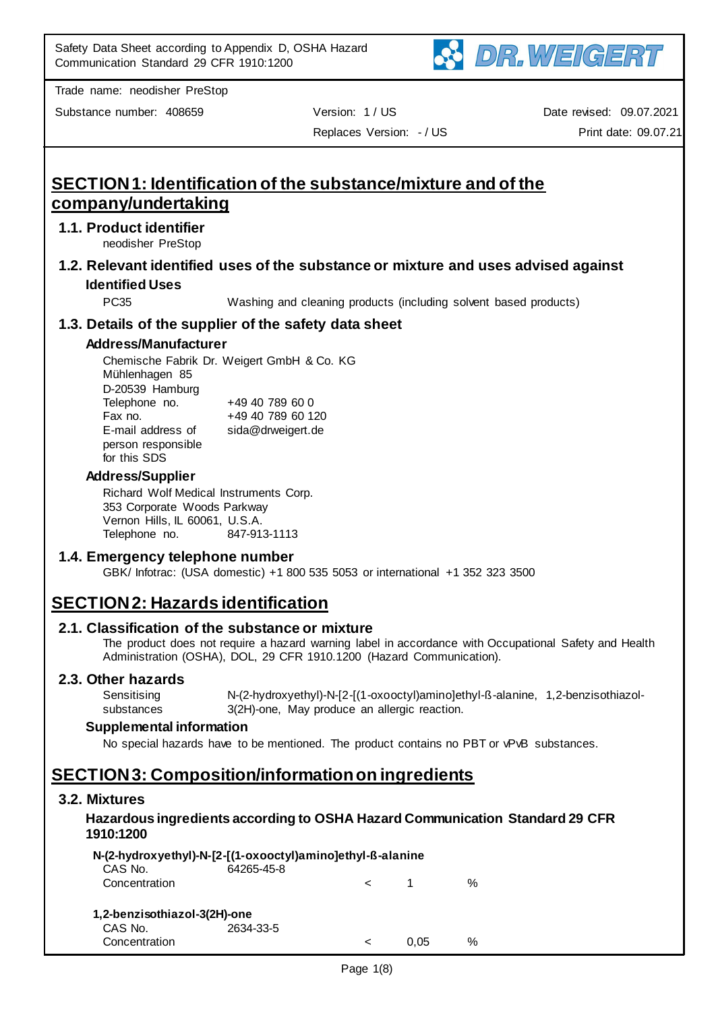

Substance number: 408659 Version: 1 / US

Replaces Version: - / US

Date revised: 09.07.2021 Print date: 09.07.21

# **SECTION 1: Identification of the substance/mixture and of the company/undertaking**

## **1.1. Product identifier**

neodisher PreStop

**1.2. Relevant identified uses of the substance or mixture and uses advised against Identified Uses**

PC35 Washing and cleaning products (including solvent based products)

# **1.3. Details of the supplier of the safety data sheet**

## **Address/Manufacturer**

Chemische Fabrik Dr. Weigert GmbH & Co. KG Mühlenhagen 85 D-20539 Hamburg Telephone no. +49 40 789 60 0 Fax no. +49 40 789 60 120 E-mail address of person responsible for this SDS sida@drweigert.de

## **Address/Supplier**

Richard Wolf Medical Instruments Corp. 353 Corporate Woods Parkway Vernon Hills, IL 60061, U.S.A. Telephone no. 847-913-1113

## **1.4. Emergency telephone number**

GBK/ Infotrac: (USA domestic) +1 800 535 5053 or international +1 352 323 3500

# **SECTION 2: Hazards identification**

## **2.1. Classification of the substance or mixture**

The product does not require a hazard warning label in accordance with Occupational Safety and Health Administration (OSHA), DOL, 29 CFR 1910.1200 (Hazard Communication).

#### **2.3. Other hazards**

**Sensitising** substances N-(2-hydroxyethyl)-N-[2-[(1-oxooctyl)amino]ethyl-ß-alanine, 1,2-benzisothiazol-3(2H)-one, May produce an allergic reaction.

#### **Supplemental information**

No special hazards have to be mentioned. The product contains no PBT or vPvB substances.

# **SECTION 3: Composition/information on ingredients**

## **3.2. Mixtures**

## **Hazardous ingredients according to OSHA Hazard Communication Standard 29 CFR 1910:1200**

|                              | N-(2-hydroxyethyl)-N-[2-[(1-oxooctyl)amino]ethyl-ß-alanine |         |                |               |
|------------------------------|------------------------------------------------------------|---------|----------------|---------------|
| CAS No.                      | 64265-45-8                                                 |         |                |               |
| Concentration                |                                                            |         | $\blacksquare$ | $\frac{0}{0}$ |
| 1,2-benzisothiazol-3(2H)-one |                                                            |         |                |               |
| CAS No.<br>Concentration     | 2634-33-5                                                  | $\,<\,$ | 0.05           | $\frac{0}{0}$ |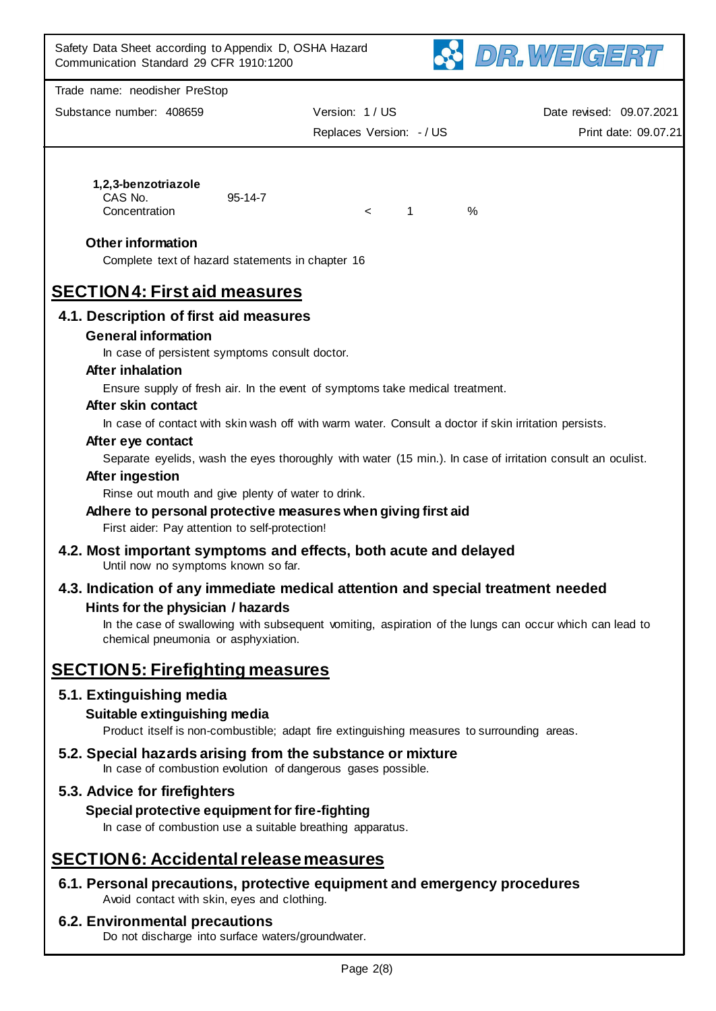

| Substance number: 408659 | Version: 1 / US        | Date revised: 09.07.2021 |
|--------------------------|------------------------|--------------------------|
|                          | Replaces Version: -/US | Print date: 09.07.21     |

#### **1,2,3-benzotriazole**

CAS No. 95-14-7 Concentration < 1 %

## **Other information**

Complete text of hazard statements in chapter 16

# **SECTION 4: First aid measures**

# **4.1. Description of first aid measures**

## **General information**

In case of persistent symptoms consult doctor.

## **After inhalation**

Ensure supply of fresh air. In the event of symptoms take medical treatment.

## **After skin contact**

In case of contact with skin wash off with warm water. Consult a doctor if skin irritation persists.

#### **After eye contact**

Separate eyelids, wash the eyes thoroughly with water (15 min.). In case of irritation consult an oculist.

#### **After ingestion**

Rinse out mouth and give plenty of water to drink.

## **Adhere to personal protective measures when giving first aid**

First aider: Pay attention to self-protection!

- **4.2. Most important symptoms and effects, both acute and delayed** Until now no symptoms known so far.
- **4.3. Indication of any immediate medical attention and special treatment needed Hints for the physician / hazards**

In the case of swallowing with subsequent vomiting, aspiration of the lungs can occur which can lead to chemical pneumonia or asphyxiation.

# **SECTION 5: Firefighting measures**

# **5.1. Extinguishing media**

# **Suitable extinguishing media**

Product itself is non-combustible; adapt fire extinguishing measures to surrounding areas.

# **5.2. Special hazards arising from the substance or mixture**

In case of combustion evolution of dangerous gases possible.

# **5.3. Advice for firefighters**

# **Special protective equipment for fire-fighting**

In case of combustion use a suitable breathing apparatus.

# **SECTION 6: Accidental release measures**

# **6.1. Personal precautions, protective equipment and emergency procedures**

Avoid contact with skin, eyes and clothing.

## **6.2. Environmental precautions**

Do not discharge into surface waters/groundwater.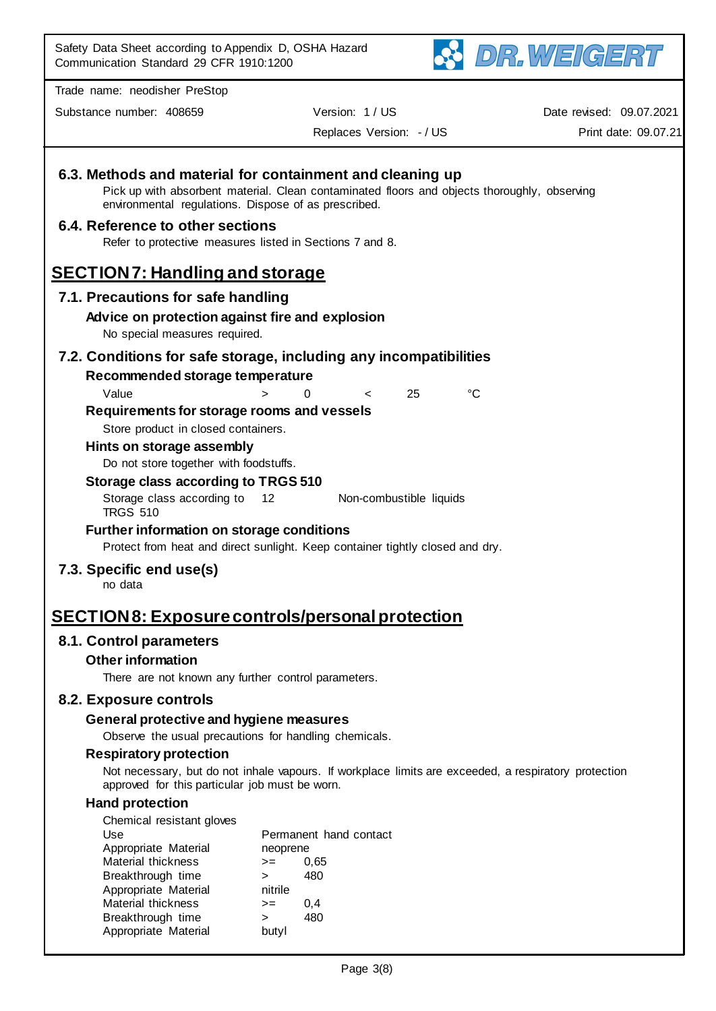

Substance number: 408659 Version: 1 / US

Date revised: 09.07.2021

Replaces Version: - / US

Print date: 09.07.21

| environmental regulations. Dispose of as prescribed.                                         | 6.3. Methods and material for containment and cleaning up<br>Pick up with absorbent material. Clean contaminated floors and objects thoroughly, observing |  |
|----------------------------------------------------------------------------------------------|-----------------------------------------------------------------------------------------------------------------------------------------------------------|--|
| 6.4. Reference to other sections<br>Refer to protective measures listed in Sections 7 and 8. |                                                                                                                                                           |  |
| <b>SECTION7: Handling and storage</b>                                                        |                                                                                                                                                           |  |
| 7.1. Precautions for safe handling                                                           |                                                                                                                                                           |  |
| Advice on protection against fire and explosion<br>No special measures required.             |                                                                                                                                                           |  |
|                                                                                              | 7.2. Conditions for safe storage, including any incompatibilities                                                                                         |  |
| Recommended storage temperature                                                              |                                                                                                                                                           |  |
| Value                                                                                        | $^{\circ}C$<br>25<br>0<br>$\geq$<br><                                                                                                                     |  |
| Requirements for storage rooms and vessels<br>Store product in closed containers.            |                                                                                                                                                           |  |
| Hints on storage assembly                                                                    |                                                                                                                                                           |  |
| Do not store together with foodstuffs.                                                       |                                                                                                                                                           |  |
| Storage class according to TRGS 510                                                          |                                                                                                                                                           |  |
| Storage class according to<br><b>TRGS 510</b>                                                | 12<br>Non-combustible liquids                                                                                                                             |  |
| <b>Further information on storage conditions</b>                                             | Protect from heat and direct sunlight. Keep container tightly closed and dry.                                                                             |  |
| 7.3. Specific end use(s)<br>no data                                                          |                                                                                                                                                           |  |
|                                                                                              | <u> SECTION 8: Exposure controls/personal protection</u>                                                                                                  |  |
| 8.1. Control parameters                                                                      |                                                                                                                                                           |  |
| <b>Other information</b>                                                                     |                                                                                                                                                           |  |
| There are not known any further control parameters.                                          |                                                                                                                                                           |  |
| 8.2. Exposure controls                                                                       |                                                                                                                                                           |  |
| General protective and hygiene measures                                                      |                                                                                                                                                           |  |
| Observe the usual precautions for handling chemicals.                                        |                                                                                                                                                           |  |
| <b>Respiratory protection</b>                                                                |                                                                                                                                                           |  |
| approved for this particular job must be worn.                                               | Not necessary, but do not inhale vapours. If workplace limits are exceeded, a respiratory protection                                                      |  |
| <b>Hand protection</b>                                                                       |                                                                                                                                                           |  |
| Chemical resistant gloves<br>Use                                                             | Permanent hand contact                                                                                                                                    |  |
| Appropriate Material                                                                         | neoprene                                                                                                                                                  |  |
| Material thickness                                                                           | 0,65<br>$>=$                                                                                                                                              |  |
| Breakthrough time<br>Appropriate Material                                                    | 480<br>$\geq$<br>nitrile                                                                                                                                  |  |
| Material thickness                                                                           | 0,4<br>$>=$                                                                                                                                               |  |
| Breakthrough time                                                                            | 480<br>$\geq$                                                                                                                                             |  |
| Appropriate Material                                                                         | butyl                                                                                                                                                     |  |
|                                                                                              | Page 3(8)                                                                                                                                                 |  |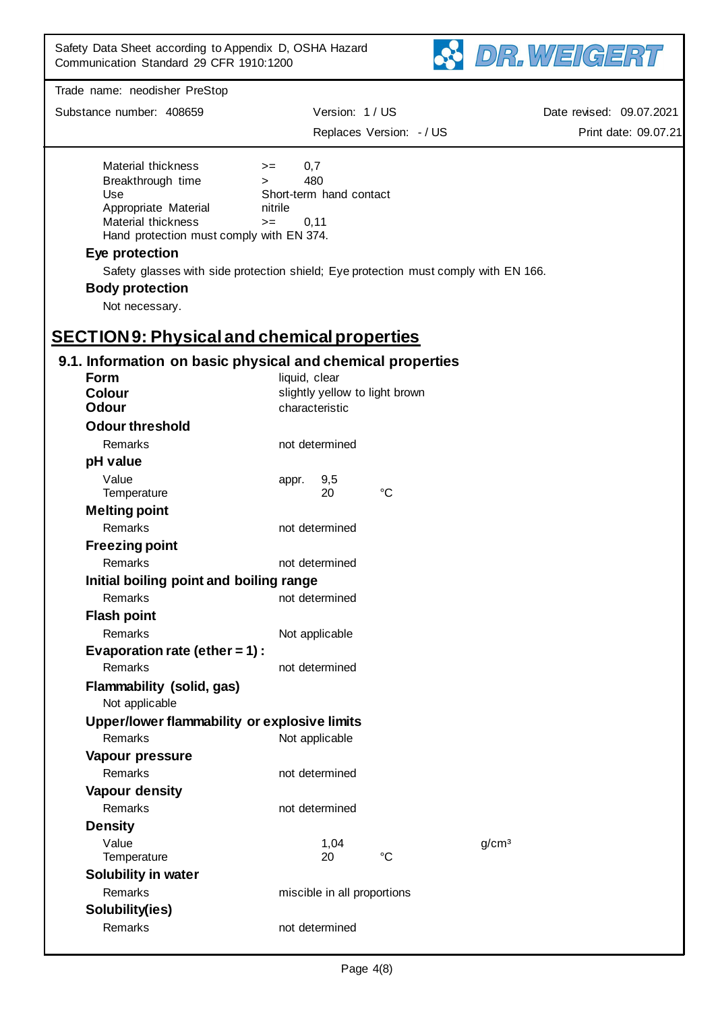

| Substance number: 408659                                                                                                                        | Version: 1 / US                                                                    | Replaces Version: - / US | Date revised: 09.07.2021<br>Print date: 09.07.21 |
|-------------------------------------------------------------------------------------------------------------------------------------------------|------------------------------------------------------------------------------------|--------------------------|--------------------------------------------------|
| Material thickness<br>Breakthrough time<br>Use<br>Appropriate Material<br><b>Material thickness</b><br>Hand protection must comply with EN 374. | 0,7<br>$>=$<br>480<br>$\geq$<br>Short-term hand contact<br>nitrile<br>0,11<br>$>=$ |                          |                                                  |
| Eye protection                                                                                                                                  |                                                                                    |                          |                                                  |
| Safety glasses with side protection shield; Eye protection must comply with EN 166.                                                             |                                                                                    |                          |                                                  |
| <b>Body protection</b>                                                                                                                          |                                                                                    |                          |                                                  |
| Not necessary.                                                                                                                                  |                                                                                    |                          |                                                  |
| <b>SECTION9: Physical and chemical properties</b>                                                                                               |                                                                                    |                          |                                                  |
| 9.1. Information on basic physical and chemical properties                                                                                      |                                                                                    |                          |                                                  |
| <b>Form</b>                                                                                                                                     | liquid, clear                                                                      |                          |                                                  |
| <b>Colour</b><br><b>Odour</b>                                                                                                                   | slightly yellow to light brown<br>characteristic                                   |                          |                                                  |
| <b>Odour threshold</b>                                                                                                                          |                                                                                    |                          |                                                  |
| Remarks                                                                                                                                         | not determined                                                                     |                          |                                                  |
| pH value                                                                                                                                        |                                                                                    |                          |                                                  |
| Value                                                                                                                                           | 9,5<br>appr.                                                                       |                          |                                                  |
| Temperature                                                                                                                                     | 20                                                                                 | $^{\circ}C$              |                                                  |
| <b>Melting point</b>                                                                                                                            |                                                                                    |                          |                                                  |
| Remarks                                                                                                                                         | not determined                                                                     |                          |                                                  |
| <b>Freezing point</b>                                                                                                                           |                                                                                    |                          |                                                  |
| Remarks                                                                                                                                         | not determined                                                                     |                          |                                                  |
| Initial boiling point and boiling range<br>Remarks                                                                                              | not determined                                                                     |                          |                                                  |
| <b>Flash point</b>                                                                                                                              |                                                                                    |                          |                                                  |
| Remarks                                                                                                                                         | Not applicable                                                                     |                          |                                                  |
| Evaporation rate (ether = $1$ ) :                                                                                                               |                                                                                    |                          |                                                  |
| Remarks                                                                                                                                         | not determined                                                                     |                          |                                                  |
| Flammability (solid, gas)<br>Not applicable                                                                                                     |                                                                                    |                          |                                                  |
| Upper/lower flammability or explosive limits                                                                                                    |                                                                                    |                          |                                                  |
| Remarks                                                                                                                                         | Not applicable                                                                     |                          |                                                  |
| Vapour pressure                                                                                                                                 |                                                                                    |                          |                                                  |
| <b>Remarks</b>                                                                                                                                  | not determined                                                                     |                          |                                                  |
| Vapour density                                                                                                                                  |                                                                                    |                          |                                                  |
| Remarks                                                                                                                                         | not determined                                                                     |                          |                                                  |
| <b>Density</b>                                                                                                                                  |                                                                                    |                          |                                                  |
| Value<br>Temperature                                                                                                                            | 1,04<br>20                                                                         | $\rm ^{\circ}C$          | g/cm <sup>3</sup>                                |
| Solubility in water                                                                                                                             |                                                                                    |                          |                                                  |
| Remarks                                                                                                                                         | miscible in all proportions                                                        |                          |                                                  |
| Solubility(ies)                                                                                                                                 |                                                                                    |                          |                                                  |
| Remarks                                                                                                                                         | not determined                                                                     |                          |                                                  |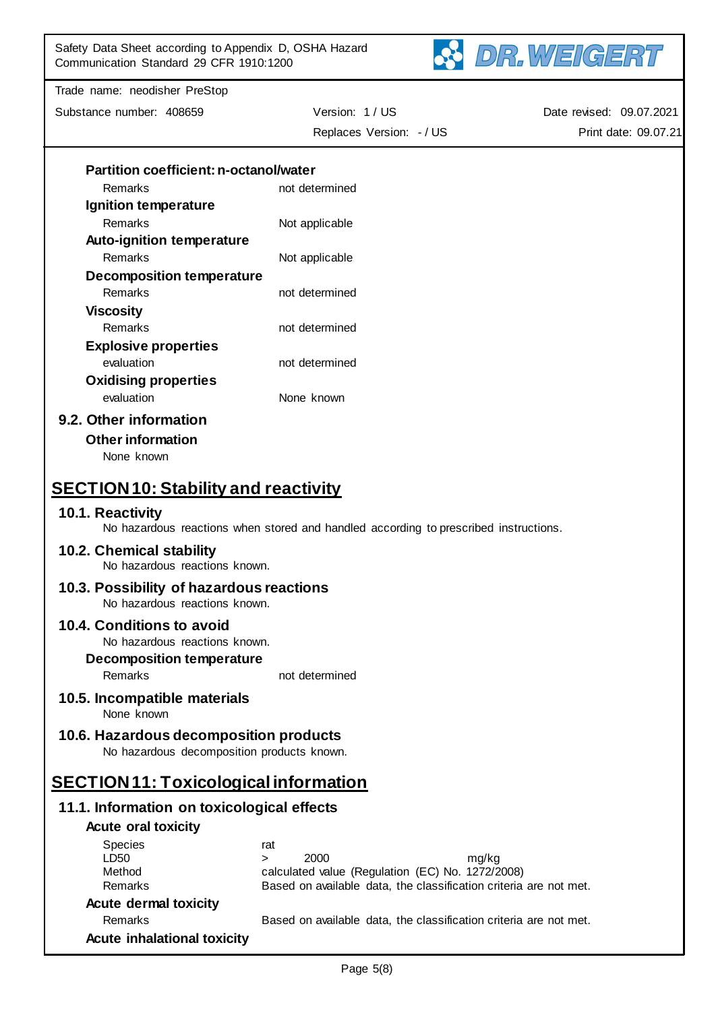Safety Data Sheet according to Appendix D, OSHA Hazard Communication Standard 29 CFR 1910:1200



Trade name: neodisher PreStop

Substance number: 408659 Version: 1 / US Replaces Version: - / US

Date revised: 09.07.2021 Print date: 09.07.21

| <b>Partition coefficient: n-octanol/water</b> |                                                                                      |
|-----------------------------------------------|--------------------------------------------------------------------------------------|
| Remarks                                       | not determined                                                                       |
| Ignition temperature                          |                                                                                      |
| Remarks                                       | Not applicable                                                                       |
| <b>Auto-ignition temperature</b>              |                                                                                      |
| Remarks                                       | Not applicable                                                                       |
| <b>Decomposition temperature</b>              |                                                                                      |
| Remarks                                       | not determined                                                                       |
| <b>Viscosity</b>                              |                                                                                      |
| Remarks                                       | not determined                                                                       |
| <b>Explosive properties</b>                   |                                                                                      |
| evaluation                                    | not determined                                                                       |
| <b>Oxidising properties</b>                   |                                                                                      |
| evaluation                                    | None known                                                                           |
| 9.2. Other information                        |                                                                                      |
| <b>Other information</b>                      |                                                                                      |
| None known                                    |                                                                                      |
|                                               |                                                                                      |
| <b>SECTION10: Stability and reactivity</b>    |                                                                                      |
| 10.1. Reactivity                              |                                                                                      |
|                                               | No hazardous reactions when stored and handled according to prescribed instructions. |
| 10.2. Chemical stability                      |                                                                                      |
| No hazardous reactions known.                 |                                                                                      |
| 10.3. Possibility of hazardous reactions      |                                                                                      |
| No hazardous reactions known.                 |                                                                                      |
| 10.4. Conditions to avoid                     |                                                                                      |
| No hazardous reactions known.                 |                                                                                      |
| <b>Decomposition temperature</b>              |                                                                                      |
| Remarks                                       | not determined                                                                       |
| 10.5. Incompatible materials                  |                                                                                      |
| None known                                    |                                                                                      |
| 10.6. Hazardous decomposition products        |                                                                                      |
| No hazardous decomposition products known.    |                                                                                      |
| <b>SECTION11: Toxicological information</b>   |                                                                                      |
| 11.1. Information on toxicological effects    |                                                                                      |
| <b>Acute oral toxicity</b>                    |                                                                                      |
| <b>Species</b>                                | rat                                                                                  |
| LD50                                          | 2000<br>mg/kg<br>$\geq$                                                              |
| Method                                        | calculated value (Regulation (EC) No. 1272/2008)                                     |
| Remarks                                       | Based on available data, the classification criteria are not met.                    |
| <b>Acute dermal toxicity</b>                  |                                                                                      |
| Remarks                                       | Based on available data, the classification criteria are not met.                    |
| <b>Acute inhalational toxicity</b>            |                                                                                      |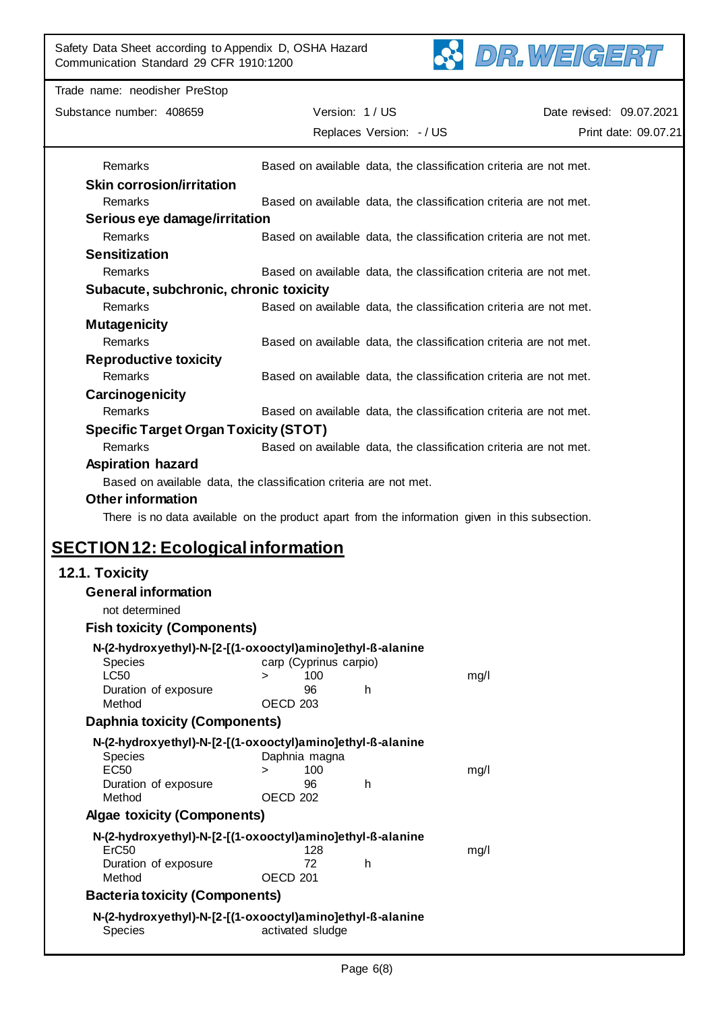

| Trade name: neodisher PreStop                |                                                                                                |                          |
|----------------------------------------------|------------------------------------------------------------------------------------------------|--------------------------|
| Substance number: 408659                     | Version: 1 / US                                                                                | Date revised: 09.07.2021 |
|                                              | Replaces Version: - / US                                                                       | Print date: 09.07.21     |
|                                              |                                                                                                |                          |
| Remarks                                      | Based on available data, the classification criteria are not met.                              |                          |
| <b>Skin corrosion/irritation</b>             |                                                                                                |                          |
| Remarks                                      | Based on available data, the classification criteria are not met.                              |                          |
| Serious eye damage/irritation                |                                                                                                |                          |
| Remarks                                      | Based on available data, the classification criteria are not met.                              |                          |
| <b>Sensitization</b>                         |                                                                                                |                          |
| Remarks                                      | Based on available data, the classification criteria are not met.                              |                          |
| Subacute, subchronic, chronic toxicity       |                                                                                                |                          |
| Remarks                                      | Based on available data, the classification criteria are not met.                              |                          |
| <b>Mutagenicity</b>                          |                                                                                                |                          |
| Remarks                                      | Based on available data, the classification criteria are not met.                              |                          |
| <b>Reproductive toxicity</b>                 |                                                                                                |                          |
| Remarks                                      | Based on available data, the classification criteria are not met.                              |                          |
| Carcinogenicity                              |                                                                                                |                          |
| Remarks                                      | Based on available data, the classification criteria are not met.                              |                          |
| <b>Specific Target Organ Toxicity (STOT)</b> |                                                                                                |                          |
| Remarks                                      | Based on available data, the classification criteria are not met.                              |                          |
| <b>Aspiration hazard</b>                     |                                                                                                |                          |
|                                              | Based on available data, the classification criteria are not met.                              |                          |
| <b>Other information</b>                     |                                                                                                |                          |
|                                              | There is no data available on the product apart from the information given in this subsection. |                          |
| <b>SECTION 12: Ecological information</b>    |                                                                                                |                          |
|                                              |                                                                                                |                          |
| 12.1. Toxicity                               |                                                                                                |                          |
| <b>General information</b>                   |                                                                                                |                          |
| not determined                               |                                                                                                |                          |
| <b>Fish toxicity (Components)</b>            |                                                                                                |                          |
| Species                                      | N-(2-hydroxyethyl)-N-[2-[(1-oxooctyl)amino]ethyl-ß-alanine<br>carp (Cyprinus carpio)           |                          |
| <b>LC50</b>                                  | 100<br>mg/l<br>$\geq$                                                                          |                          |
| Duration of exposure                         | 96<br>h                                                                                        |                          |
| Method                                       | OECD <sub>203</sub>                                                                            |                          |
| <b>Daphnia toxicity (Components)</b>         |                                                                                                |                          |
|                                              | N-(2-hydroxyethyl)-N-[2-[(1-oxooctyl)amino]ethyl-ß-alanine                                     |                          |
| Species<br><b>EC50</b>                       | Daphnia magna<br>100<br>mg/l<br>$\geq$                                                         |                          |
| Duration of exposure                         | 96<br>h                                                                                        |                          |
| Method                                       | OECD 202                                                                                       |                          |
| <b>Algae toxicity (Components)</b>           |                                                                                                |                          |
|                                              | N-(2-hydroxyethyl)-N-[2-[(1-oxooctyl)amino]ethyl-ß-alanine                                     |                          |
| ErC <sub>50</sub>                            | 128<br>mg/l                                                                                    |                          |
| Duration of exposure<br>Method               | 72<br>h<br>OECD <sub>201</sub>                                                                 |                          |
| <b>Bacteria toxicity (Components)</b>        |                                                                                                |                          |
|                                              |                                                                                                |                          |
| Species                                      | N-(2-hydroxyethyl)-N-[2-[(1-oxooctyl)amino]ethyl-ß-alanine<br>activated sludge                 |                          |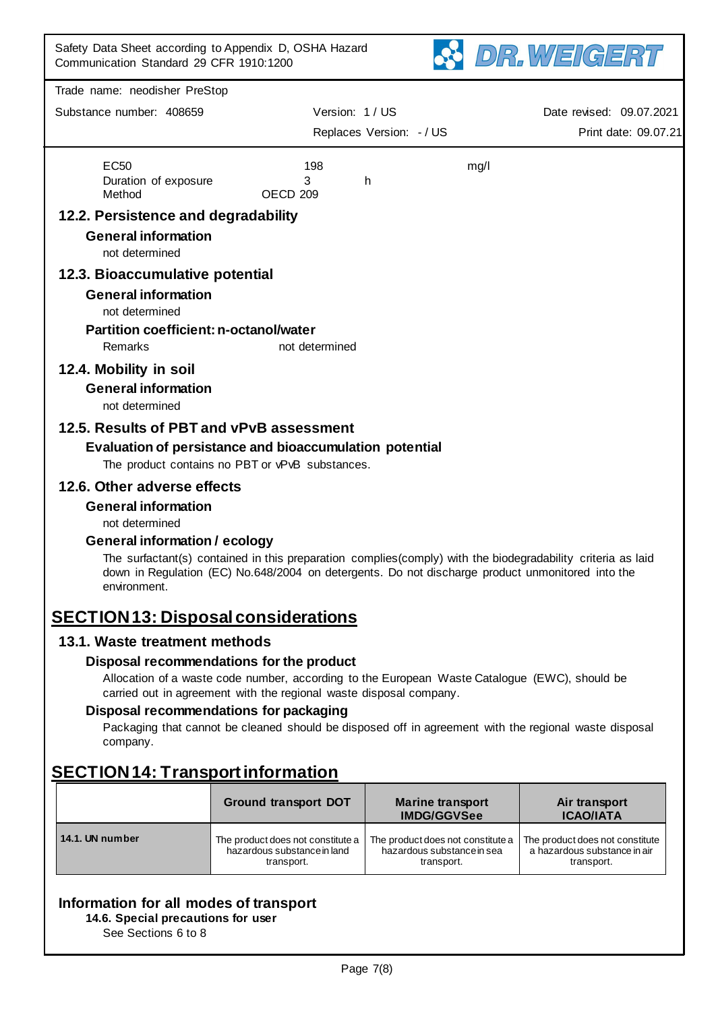

| Communication Standard 29 CFR 1910:1200       |                                                                                                                                                                                                                 |                                               |      | Phi WEISENI                       |
|-----------------------------------------------|-----------------------------------------------------------------------------------------------------------------------------------------------------------------------------------------------------------------|-----------------------------------------------|------|-----------------------------------|
| Trade name: neodisher PreStop                 |                                                                                                                                                                                                                 |                                               |      |                                   |
| Substance number: 408659                      | Version: 1 / US                                                                                                                                                                                                 |                                               |      | Date revised: 09.07.2021          |
|                                               |                                                                                                                                                                                                                 | Replaces Version: - / US                      |      | Print date: 09.07.21              |
| <b>EC50</b>                                   | 198                                                                                                                                                                                                             |                                               | mg/l |                                   |
| Duration of exposure                          | 3                                                                                                                                                                                                               | h                                             |      |                                   |
| Method                                        | OECD <sub>209</sub>                                                                                                                                                                                             |                                               |      |                                   |
| 12.2. Persistence and degradability           |                                                                                                                                                                                                                 |                                               |      |                                   |
| <b>General information</b><br>not determined  |                                                                                                                                                                                                                 |                                               |      |                                   |
| 12.3. Bioaccumulative potential               |                                                                                                                                                                                                                 |                                               |      |                                   |
| <b>General information</b>                    |                                                                                                                                                                                                                 |                                               |      |                                   |
| not determined                                |                                                                                                                                                                                                                 |                                               |      |                                   |
| <b>Partition coefficient: n-octanol/water</b> |                                                                                                                                                                                                                 |                                               |      |                                   |
| Remarks                                       | not determined                                                                                                                                                                                                  |                                               |      |                                   |
| 12.4. Mobility in soil                        |                                                                                                                                                                                                                 |                                               |      |                                   |
| <b>General information</b><br>not determined  |                                                                                                                                                                                                                 |                                               |      |                                   |
|                                               |                                                                                                                                                                                                                 |                                               |      |                                   |
| 12.5. Results of PBT and vPvB assessment      | Evaluation of persistance and bioaccumulation potential                                                                                                                                                         |                                               |      |                                   |
|                                               | The product contains no PBT or vPvB substances.                                                                                                                                                                 |                                               |      |                                   |
| 12.6. Other adverse effects                   |                                                                                                                                                                                                                 |                                               |      |                                   |
| <b>General information</b>                    |                                                                                                                                                                                                                 |                                               |      |                                   |
| not determined                                |                                                                                                                                                                                                                 |                                               |      |                                   |
| <b>General information / ecology</b>          |                                                                                                                                                                                                                 |                                               |      |                                   |
| environment.                                  | The surfactant(s) contained in this preparation complies(comply) with the biodegradability criteria as laid<br>down in Regulation (EC) No.648/2004 on detergents. Do not discharge product unmonitored into the |                                               |      |                                   |
| <b>SECTION 13: Disposal considerations</b>    |                                                                                                                                                                                                                 |                                               |      |                                   |
| 13.1. Waste treatment methods                 |                                                                                                                                                                                                                 |                                               |      |                                   |
|                                               | Disposal recommendations for the product                                                                                                                                                                        |                                               |      |                                   |
|                                               | Allocation of a waste code number, according to the European Waste Catalogue (EWC), should be<br>carried out in agreement with the regional waste disposal company.                                             |                                               |      |                                   |
|                                               | Disposal recommendations for packaging                                                                                                                                                                          |                                               |      |                                   |
| company.                                      | Packaging that cannot be cleaned should be disposed off in agreement with the regional waste disposal                                                                                                           |                                               |      |                                   |
| <b>SECTION 14: Transport information</b>      |                                                                                                                                                                                                                 |                                               |      |                                   |
|                                               |                                                                                                                                                                                                                 |                                               |      |                                   |
|                                               | <b>Ground transport DOT</b>                                                                                                                                                                                     | <b>Marine transport</b><br><b>IMDG/GGVSee</b> |      | Air transport<br><b>ICAO/IATA</b> |
|                                               |                                                                                                                                                                                                                 |                                               |      |                                   |

| Information for all modes of transport |
|----------------------------------------|
|----------------------------------------|

**14.1. UN number** The product does not constitute a

hazardous substance in land transport.

**14.6. Special precautions for user**

See Sections 6 to 8

The product does not constitute a hazardous substance in sea transport.

The product does not constitute a hazardous substance in air transport.